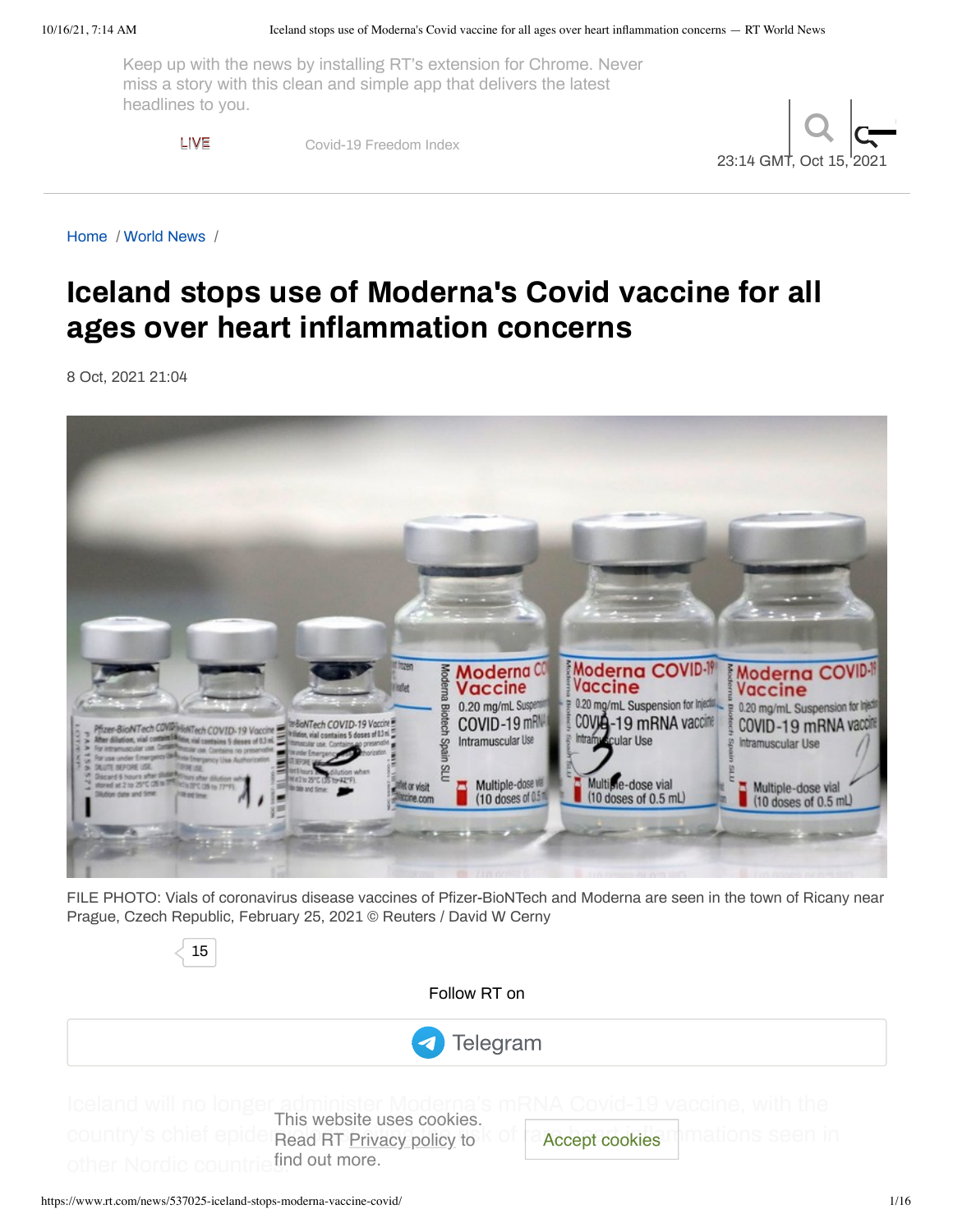Keep up with the [news](https://russian.rt.com/inotv) [by](https://rtd.rt.com/) ins[talling](https://ruptly.tv/) RT's [extensi](https://www.rt.com/where-to-watch/)on for [Chro](https://www.rt.com/schedule/)me. [Neve](https://en.shop-rt.com/)r miss a story with this clean and simple app that delivers the latest [h](https://www.rt.com/)eadlines to you.

LIVE [Covid-19](https://www.rt.com/covid_freedom_index/) Freedom Index



[Home](https://www.rt.com/) / [World](https://www.rt.com/news/) News /

# **Iceland stops use of Moderna's Covid vaccine for all ages over heart inflammation concerns**

8 Oct, 2021 21:04



FILE PHOTO: Vials of coronavirus disease vaccines of Pfizer-BioNTech and Moderna are seen in the town of Ricany near Prague, Czech Republic, February 25, 2021 © Reuters / David W Cerny

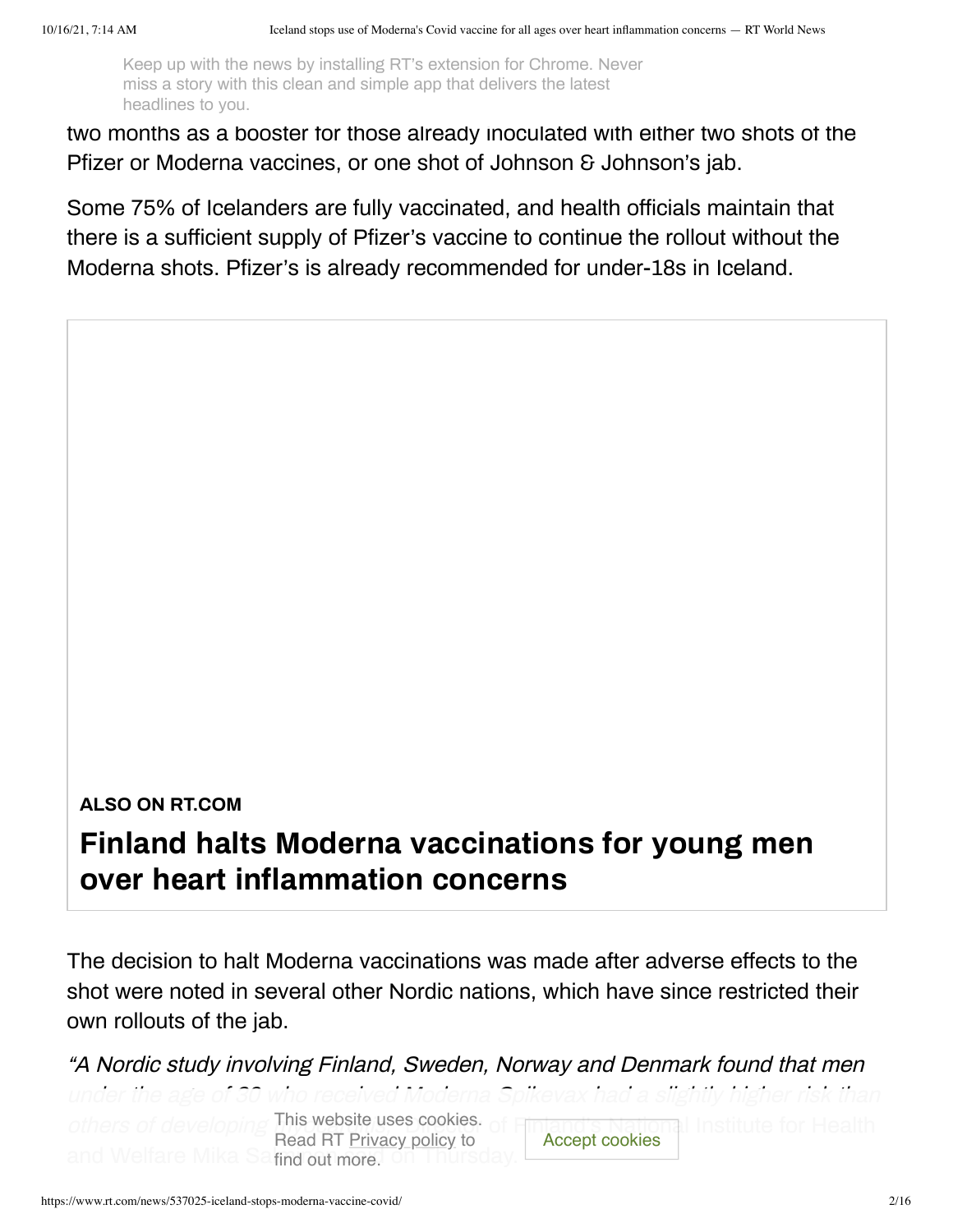Keep up with the news by installing RT's extension for Chrome. Never<br>mise a star with this clean and simple ann that delivers the latest headlines to you.<br>
headlines to you. miss a story with this clean and simple app that delivers the latest

two months as a booster for those already inoculated with either two shots of the Pfizer or Moderna vaccines, or one shot of Johnson & Johnson's jab.

Some 75% of Icelanders are fully vaccinated, and health officials maintain that there is a sufficient supply of Pfizer's vaccine to continue the rollout without the Moderna shots. Pfizer's is already recommended for under-18s in Iceland.

#### **ALSO ON RT.COM**

# **Finland halts Moderna vaccinations for young men over heart inflammation concerns**

The decision to halt Moderna vaccinations was made after adverse effects to the shot were noted in several other Nordic nations, which have since restricted their own rollouts of the jab.

"A Nordic study involving Finland, Sweden, Norway and Denmark found that men under the age others of developing This website uses cookies. of Finland's National Institute for Health **Salfind out more.** Read RT Privacy policy to oderna vaccinations was made after adverse effects to the veral other Nordic nations, which have since restricted their<br>ing Finland, Sweden, Norway and Denmark found that men<br>the received Moderna Spikevax had a slightly hi Accept cookies